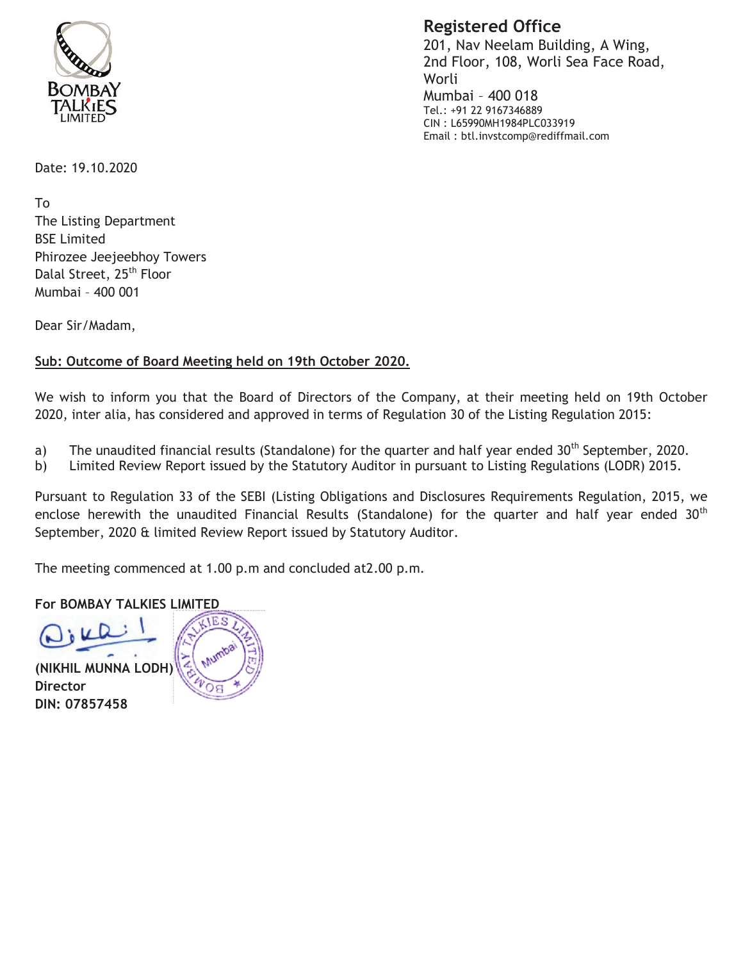

**Registered Office** 201, Nav Neelam Building, A Wing,

2nd Floor, 108, Worli Sea Face Road, Worli Mumbai - 400 018 Tel.: +91 22 9167346889 CIN: L65990MH1984PLC033919 Email: btl.invstcomp@rediffmail.com

Date: 19.10.2020

**Τ**ο The Listing Department **BSE Limited** Phirozee Jeejeebhoy Towers Dalal Street, 25<sup>th</sup> Floor Mumbai - 400 001

Dear Sir/Madam,

## Sub: Outcome of Board Meeting held on 19th October 2020.

We wish to inform you that the Board of Directors of the Company, at their meeting held on 19th October 2020, inter alia, has considered and approved in terms of Regulation 30 of the Listing Regulation 2015:

- The unaudited financial results (Standalone) for the quarter and half year ended 30<sup>th</sup> September, 2020. a)
- Limited Review Report issued by the Statutory Auditor in pursuant to Listing Regulations (LODR) 2015. b)

Pursuant to Regulation 33 of the SEBI (Listing Obligations and Disclosures Requirements Regulation, 2015, we enclose herewith the unaudited Financial Results (Standalone) for the quarter and half year ended  $30<sup>th</sup>$ September, 2020 & limited Review Report issued by Statutory Auditor.

The meeting commenced at 1.00 p.m and concluded at 2.00 p.m.

## **For BOMBAY TALKIES LIMITED**

(NIKHIL MUNNA LODH) **Director** DIN: 07857458

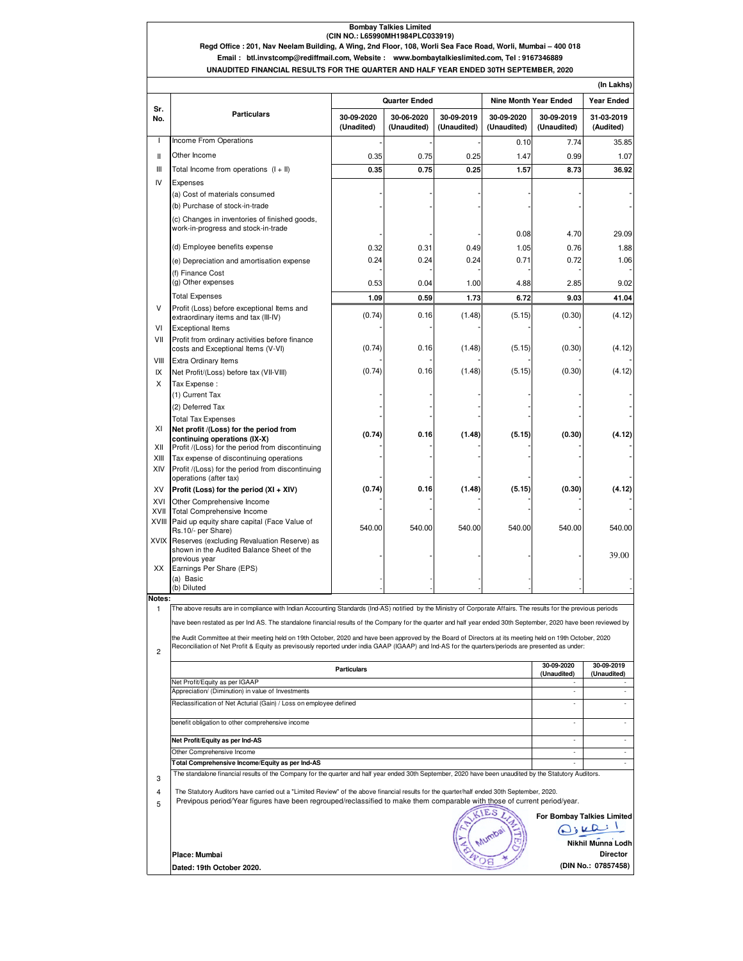### **Bombay Talkies Limited (CIN NO.: L65990MH1984PLC033919)**

#### **UNAUDITED FINANCIAL RESULTS FOR THE QUARTER AND HALF YEAR ENDED 30TH SEPTEMBER, 2020 Regd Office : 201, Nav Neelam Building, A Wing, 2nd Floor, 108, Worli Sea Face Road, Worli, Mumbai – 400 018 Email : btl.invstcomp@rediffmail.com, Website : www.bombaytalkieslimited.com, Tel : 9167346889**

|                | (In Lakhs)                                                                                                                                                                                                                                                                                                       |                          |                           |                           |                              |                           |                            |  |  |  |
|----------------|------------------------------------------------------------------------------------------------------------------------------------------------------------------------------------------------------------------------------------------------------------------------------------------------------------------|--------------------------|---------------------------|---------------------------|------------------------------|---------------------------|----------------------------|--|--|--|
| Sr.            | <b>Particulars</b>                                                                                                                                                                                                                                                                                               | <b>Quarter Ended</b>     |                           |                           | <b>Nine Month Year Ended</b> |                           | <b>Year Ended</b>          |  |  |  |
| No.            |                                                                                                                                                                                                                                                                                                                  | 30-09-2020<br>(Unadited) | 30-06-2020<br>(Unaudited) | 30-09-2019<br>(Unaudited) | 30-09-2020<br>(Unaudited)    | 30-09-2019<br>(Unaudited) | 31-03-2019<br>(Audited)    |  |  |  |
| T              | <b>Income From Operations</b>                                                                                                                                                                                                                                                                                    |                          |                           |                           | 0.10                         | 7.74                      | 35.85                      |  |  |  |
| Ш              | Other Income                                                                                                                                                                                                                                                                                                     | 0.35                     | 0.75                      | 0.25                      | 1.47                         | 0.99                      | 1.07                       |  |  |  |
| Ш              | Total Income from operations (I + II)                                                                                                                                                                                                                                                                            | 0.35                     | 0.75                      | 0.25                      | 1.57                         | 8.73                      | 36.92                      |  |  |  |
| IV             | Expenses                                                                                                                                                                                                                                                                                                         |                          |                           |                           |                              |                           |                            |  |  |  |
|                | (a) Cost of materials consumed<br>(b) Purchase of stock-in-trade                                                                                                                                                                                                                                                 |                          |                           |                           |                              |                           |                            |  |  |  |
|                | (c) Changes in inventories of finished goods,<br>work-in-progress and stock-in-trade                                                                                                                                                                                                                             |                          |                           |                           | 0.08                         | 4.70                      | 29.09                      |  |  |  |
|                | (d) Employee benefits expense                                                                                                                                                                                                                                                                                    | 0.32                     | 0.31                      | 0.49                      | 1.05                         | 0.76                      | 1.88                       |  |  |  |
|                | (e) Depreciation and amortisation expense                                                                                                                                                                                                                                                                        | 0.24                     | 0.24                      | 0.24                      | 0.71                         | 0.72                      | 1.06                       |  |  |  |
|                | (f) Finance Cost                                                                                                                                                                                                                                                                                                 |                          |                           |                           |                              |                           |                            |  |  |  |
|                | (g) Other expenses                                                                                                                                                                                                                                                                                               | 0.53                     | 0.04                      | 1.00                      | 4.88                         | 2.85                      | 9.02                       |  |  |  |
|                | <b>Total Expenses</b>                                                                                                                                                                                                                                                                                            | 1.09                     | 0.59                      | 1.73                      | 6.72                         | 9.03                      | 41.04                      |  |  |  |
| V<br>VI        | Profit (Loss) before exceptional Items and<br>extraordinary items and tax (III-IV)<br><b>Exceptional Items</b>                                                                                                                                                                                                   | (0.74)                   | 0.16                      | (1.48)                    | (5.15)                       | (0.30)                    | (4.12)                     |  |  |  |
| VII            | Profit from ordinary activities before finance<br>costs and Exceptional Items (V-VI)                                                                                                                                                                                                                             | (0.74)                   | 0.16                      | (1.48)                    | (5.15)                       | (0.30)                    | (4.12)                     |  |  |  |
| VIII           | <b>Extra Ordinary Items</b>                                                                                                                                                                                                                                                                                      |                          |                           |                           |                              |                           |                            |  |  |  |
| IX             | Net Profit/(Loss) before tax (VII-VIII)                                                                                                                                                                                                                                                                          | (0.74)                   | 0.16                      | (1.48)                    | (5.15)                       | (0.30)                    | (4.12)                     |  |  |  |
| X              | Tax Expense :                                                                                                                                                                                                                                                                                                    |                          |                           |                           |                              |                           |                            |  |  |  |
|                | (1) Current Tax                                                                                                                                                                                                                                                                                                  |                          |                           |                           |                              |                           |                            |  |  |  |
|                | (2) Deferred Tax                                                                                                                                                                                                                                                                                                 |                          |                           |                           |                              |                           |                            |  |  |  |
| ΧI             | <b>Total Tax Expenses</b><br>Net profit /(Loss) for the period from                                                                                                                                                                                                                                              |                          |                           |                           |                              |                           |                            |  |  |  |
|                | continuing operations (IX-X)                                                                                                                                                                                                                                                                                     | (0.74)                   | 0.16                      | (1.48)                    | (5.15)                       | (0.30)                    | (4.12)                     |  |  |  |
| XII            | Profit /(Loss) for the period from discontinuing                                                                                                                                                                                                                                                                 |                          |                           |                           |                              |                           |                            |  |  |  |
| XIII           | Tax expense of discontinuing operations                                                                                                                                                                                                                                                                          |                          |                           |                           |                              |                           |                            |  |  |  |
| XIV            | Profit /(Loss) for the period from discontinuing<br>operations (after tax)                                                                                                                                                                                                                                       |                          |                           |                           |                              |                           |                            |  |  |  |
| XV             | Profit (Loss) for the period (XI + XIV)                                                                                                                                                                                                                                                                          | (0.74)                   | 0.16                      | (1.48)                    | (5.15)                       | (0.30)                    | (4.12)                     |  |  |  |
| XVI            | Other Comprehensive Income                                                                                                                                                                                                                                                                                       |                          |                           |                           |                              |                           |                            |  |  |  |
| XVII           | <b>Total Comprehensive Income</b>                                                                                                                                                                                                                                                                                |                          |                           |                           |                              |                           |                            |  |  |  |
| XVIII          | Paid up equity share capital (Face Value of<br>Rs.10/- per Share)                                                                                                                                                                                                                                                | 540.00                   | 540.00                    | 540.00                    | 540.00                       | 540.00                    | 540.00                     |  |  |  |
|                | XVIX Reserves (excluding Revaluation Reserve) as                                                                                                                                                                                                                                                                 |                          |                           |                           |                              |                           |                            |  |  |  |
|                | shown in the Audited Balance Sheet of the                                                                                                                                                                                                                                                                        |                          |                           |                           |                              |                           | 39.00                      |  |  |  |
| ХX             | previous year<br>Earnings Per Share (EPS)                                                                                                                                                                                                                                                                        |                          |                           |                           |                              |                           |                            |  |  |  |
|                | (a) Basic                                                                                                                                                                                                                                                                                                        |                          |                           |                           |                              |                           |                            |  |  |  |
|                | (b) Diluted                                                                                                                                                                                                                                                                                                      |                          |                           |                           |                              |                           |                            |  |  |  |
| Notes:<br>1    |                                                                                                                                                                                                                                                                                                                  |                          |                           |                           |                              |                           |                            |  |  |  |
|                | The above results are in compliance with Indian Accounting Standards (Ind-AS) notified by the Ministry of Corporate Affairs. The results for the previous periods                                                                                                                                                |                          |                           |                           |                              |                           |                            |  |  |  |
|                | have been restated as per Ind AS. The standalone financial results of the Company for the quarter and half year ended 30th September, 2020 have been reviewed by                                                                                                                                                 |                          |                           |                           |                              |                           |                            |  |  |  |
| $\overline{c}$ | the Audit Committee at their meeting held on 19th October, 2020 and have been approved by the Board of Directors at its meeting held on 19th October, 2020<br>Reconciliation of Net Profit & Equity as previsously reported under india GAAP (IGAAP) and Ind-AS for the quarters/periods are presented as under: |                          |                           |                           |                              |                           |                            |  |  |  |
|                | <b>Particulars</b>                                                                                                                                                                                                                                                                                               |                          |                           |                           |                              |                           | 30-09-2019<br>(Unaudited)  |  |  |  |
|                | Net Profit/Equity as per IGAAP<br>Appreciation/ (Diminution) in value of Investments                                                                                                                                                                                                                             |                          |                           |                           |                              |                           |                            |  |  |  |
|                | Reclassification of Net Acturial (Gain) / Loss on employee defined                                                                                                                                                                                                                                               | ٠                        | $\overline{\phantom{a}}$  |                           |                              |                           |                            |  |  |  |
|                | benefit obligation to other comprehensive income                                                                                                                                                                                                                                                                 |                          |                           |                           |                              |                           | $\overline{\phantom{a}}$   |  |  |  |
|                | Net Profit/Equity as per Ind-AS                                                                                                                                                                                                                                                                                  |                          |                           |                           |                              |                           | ٠                          |  |  |  |
|                | Other Comprehensive Income                                                                                                                                                                                                                                                                                       | ٠                        | $\overline{\phantom{a}}$  |                           |                              |                           |                            |  |  |  |
|                | Total Comprehensive Income/Equity as per Ind-AS<br>٠                                                                                                                                                                                                                                                             |                          |                           |                           |                              |                           |                            |  |  |  |
| 3              | The standalone financial results of the Company for the quarter and half year ended 30th September, 2020 have been unaudited by the Statutory Auditors.                                                                                                                                                          |                          |                           |                           |                              |                           | ٠                          |  |  |  |
|                |                                                                                                                                                                                                                                                                                                                  |                          |                           |                           |                              |                           |                            |  |  |  |
| 4<br>5         | The Statutory Auditors have carried out a "Limited Review" of the above financial results for the quarter/half ended 30th September, 2020.<br>Previpous period/Year figures have been regrouped/reclassified to make them comparable with those of current period/year.                                          |                          |                           |                           |                              |                           |                            |  |  |  |
|                |                                                                                                                                                                                                                                                                                                                  |                          |                           |                           | <b>ES</b>                    |                           | For Bombay Talkies Limited |  |  |  |
|                |                                                                                                                                                                                                                                                                                                                  |                          |                           |                           |                              |                           | Dikki                      |  |  |  |
|                |                                                                                                                                                                                                                                                                                                                  |                          |                           |                           |                              |                           |                            |  |  |  |

 **Director Nikhil Munna Lodh** 

**Place: Mumbai Dated: 19th October 2020. (DIN No.: 07857458)**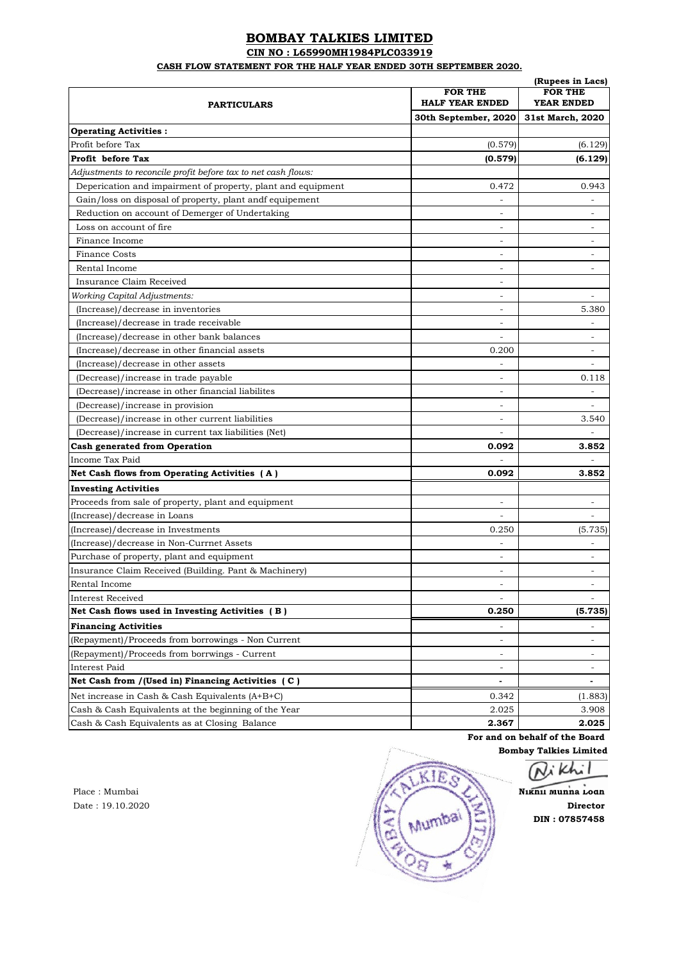## **BOMBAY TALKIES LIMITED**

**CIN NO : L65990MH1984PLC033919**

**CASH FLOW STATEMENT FOR THE HALF YEAR ENDED 30TH SEPTEMBER 2020.**

|                                                               | (Rupees in Lacs)<br><b>FOR THE</b><br><b>FOR THE</b> |                          |  |
|---------------------------------------------------------------|------------------------------------------------------|--------------------------|--|
| <b>PARTICULARS</b>                                            | <b>HALF YEAR ENDED</b>                               | YEAR ENDED               |  |
|                                                               | 30th September, 2020                                 | 31st March, 2020         |  |
| <b>Operating Activities:</b>                                  |                                                      |                          |  |
| Profit before Tax                                             | (0.579)                                              | (6.129)                  |  |
| Profit before Tax                                             | (0.579)                                              | (6.129)                  |  |
| Adjustments to reconcile profit before tax to net cash flows: |                                                      |                          |  |
| Deperication and impairment of property, plant and equipment  | 0.472                                                | 0.943                    |  |
| Gain/loss on disposal of property, plant andf equipement      |                                                      |                          |  |
| Reduction on account of Demerger of Undertaking               | ۰                                                    | ÷.                       |  |
| Loss on account of fire                                       | ٠                                                    | ÷.                       |  |
| Finance Income                                                | ٠                                                    | ÷.                       |  |
| Finance Costs                                                 | ÷                                                    | $\overline{\phantom{a}}$ |  |
| Rental Income                                                 | ٠                                                    | $\overline{\phantom{a}}$ |  |
| Insurance Claim Received                                      | ۰                                                    |                          |  |
| <b>Working Capital Adjustments:</b>                           | ۰                                                    |                          |  |
| (Increase)/decrease in inventories                            | ۰                                                    | 5.380                    |  |
| (Increase)/decrease in trade receivable                       | ۰                                                    |                          |  |
| (Increase)/decrease in other bank balances                    | ٠                                                    | ä,                       |  |
| (Increase)/decrease in other financial assets                 | 0.200                                                | ÷.                       |  |
| (Increase)/decrease in other assets                           |                                                      | $\overline{a}$           |  |
| (Decrease)/increase in trade payable                          | ٠                                                    | 0.118                    |  |
| (Decrease)/increase in other financial liabilites             | ٠                                                    |                          |  |
| (Decrease)/increase in provision                              | ۰                                                    |                          |  |
| (Decrease)/increase in other current liabilities              | ۰                                                    | 3.540                    |  |
| (Decrease)/increase in current tax liabilities (Net)          |                                                      |                          |  |
| <b>Cash generated from Operation</b>                          | 0.092                                                | 3.852                    |  |
| Income Tax Paid                                               |                                                      |                          |  |
| Net Cash flows from Operating Activities (A)                  | 0.092                                                | 3.852                    |  |
| <b>Investing Activities</b>                                   |                                                      |                          |  |
| Proceeds from sale of property, plant and equipment           | $\overline{\phantom{a}}$                             | $\overline{\phantom{a}}$ |  |
| (Increase)/decrease in Loans                                  | $\overline{\phantom{a}}$                             | $\overline{\phantom{a}}$ |  |
| (Increase)/decrease in Investments                            | 0.250                                                | (5.735)                  |  |
| (Increase)/decrease in Non-Currnet Assets                     | $\overline{\phantom{a}}$                             | $\overline{\phantom{0}}$ |  |
| Purchase of property, plant and equipment                     | $\overline{\phantom{a}}$                             | $\overline{\phantom{a}}$ |  |
| Insurance Claim Received (Building. Pant & Machinery)         | $\overline{\phantom{a}}$                             | $\overline{\phantom{a}}$ |  |
| Rental Income                                                 | $\overline{a}$                                       | $\overline{\phantom{0}}$ |  |
| <b>Interest Received</b>                                      | $\overline{\phantom{a}}$                             |                          |  |
| Net Cash flows used in Investing Activities (B)               | 0.250                                                | (5.735)                  |  |
| <b>Financing Activities</b>                                   | $\blacksquare$                                       |                          |  |
| (Repayment)/Proceeds from borrowings - Non Current            | ÷                                                    | $\overline{\phantom{a}}$ |  |
| (Repayment)/Proceeds from borrwings - Current                 | $\blacksquare$                                       | $\overline{\phantom{a}}$ |  |
| Interest Paid                                                 | $\overline{\phantom{a}}$                             | $\overline{\phantom{a}}$ |  |
| Net Cash from /(Used in) Financing Activities (C)             | $\blacksquare$                                       | $\blacksquare$           |  |
|                                                               |                                                      |                          |  |
| Net increase in Cash & Cash Equivalents (A+B+C)               | 0.342                                                | (1.883)                  |  |
| Cash & Cash Equivalents at the beginning of the Year          | 2.025                                                | 3.908                    |  |
| Cash & Cash Equivalents as at Closing Balance                 | 2.367                                                | 2.025                    |  |

**For and on behalf of the Board**

**Bombay Talkies Limited**

**DIN : 07857458**

Place : Mumbai **Nikhil Munna Lodh**<br> **Nikhil Munna Lodh** Date : 19.10.2020<br>**Director**<br>**Director**<br>**Director**<br>**Director**<br>**Director**<br>**Director**<br>**Director**<br>**Director**<br>**DIR: 07857458**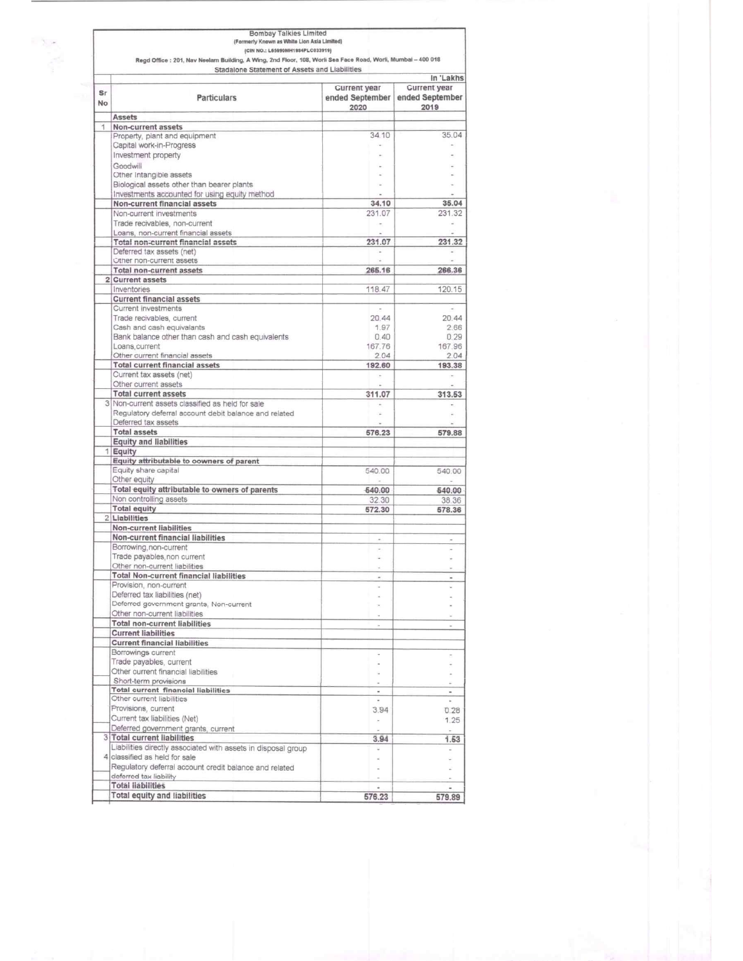|           | <b>Bombay Talkies Limited</b>                                                                                |                                 |                          |
|-----------|--------------------------------------------------------------------------------------------------------------|---------------------------------|--------------------------|
|           | (Formerly Known as White Lion Asia Limited)                                                                  |                                 |                          |
|           | (CIN NO.: L65990MH1984PLC033919)                                                                             |                                 |                          |
|           | Regd Office : 201, Nav Neelam Building, A Wing, 2nd Floor, 108, Worli Sea Face Road, Worli, Mumbai - 400 018 |                                 |                          |
|           | Stadalone Statement of Assets and Liabilities                                                                |                                 |                          |
|           |                                                                                                              |                                 | In 'Lakhs                |
| Sr        |                                                                                                              | <b>Current year</b>             | <b>Current year</b>      |
| <b>No</b> | <b>Particulars</b>                                                                                           | ended September ended September |                          |
|           |                                                                                                              | 2020                            | 2019                     |
|           | <b>Assets</b>                                                                                                |                                 |                          |
| 1         | Non-current assets                                                                                           |                                 | 35.04                    |
|           | Property, plant and equipment                                                                                | 34.10                           |                          |
|           | Capital work-in-Progress                                                                                     |                                 |                          |
|           | Investment property                                                                                          |                                 |                          |
|           | Goodwill                                                                                                     |                                 |                          |
|           | Other Intangible assets                                                                                      |                                 |                          |
|           | Biological assets other than bearer plants                                                                   |                                 |                          |
|           | Investments accounted for using equity method                                                                |                                 |                          |
|           | Non-current financial assets                                                                                 | 34.10                           | 35.04                    |
|           | Non-current investments                                                                                      | 231.07                          | 231.32                   |
|           | Trade recivables, non-current                                                                                | $\sim$                          | $\sim$                   |
|           | Loans, non-current financial assets                                                                          |                                 |                          |
|           | <b>Total non-current financial assets</b>                                                                    | 231.07                          | 231.32                   |
|           | Deferred tax assets (net)                                                                                    |                                 |                          |
|           | Other non-current assets                                                                                     |                                 | $\sim$                   |
|           | Total non-current assets                                                                                     | 265.16                          | 266.36                   |
|           | 2 Current assets                                                                                             |                                 |                          |
|           | Inventories                                                                                                  | 118.47                          | 120.15                   |
|           | <b>Current financial assets</b>                                                                              |                                 |                          |
|           | Current investments                                                                                          |                                 |                          |
|           | Trade recivables, current                                                                                    | 20.44                           | 20.44                    |
|           | Cash and cash equivalants                                                                                    | 1.97                            | 2.66                     |
|           | Bank balance other than cash and cash equivalents                                                            | 0.40                            | 0.29                     |
|           | Loans.current                                                                                                | 167.76                          | 167.96                   |
|           | Other current financial assets                                                                               | 2.04                            | 2.04                     |
|           | <b>Total current financial assets</b>                                                                        | 192.60                          | 193.38                   |
|           | Current tax assets (net)                                                                                     |                                 |                          |
|           | Other current assets                                                                                         | ÷                               |                          |
|           | <b>Total current assets</b>                                                                                  |                                 | $\sim$                   |
|           |                                                                                                              | 311.07                          | 313.53                   |
|           | 3 Non-current assets classified as held for sale                                                             |                                 |                          |
|           | Regulatory deferral account debit balance and related                                                        | ÷                               |                          |
|           | Deferred tax assets                                                                                          |                                 |                          |
|           | <b>Total assets</b>                                                                                          | 576.23                          | 579.88                   |
|           | <b>Equity and liabilities</b>                                                                                |                                 |                          |
|           | 1 Equity                                                                                                     |                                 |                          |
|           | Equity attributable to oowners of parent                                                                     |                                 |                          |
|           | Equity share capital                                                                                         | 540.00                          | 540.00                   |
|           | Other equity                                                                                                 |                                 | ä,                       |
|           | Total equity attributable to owners of parents                                                               | 540.00                          | 540.00                   |
|           | Non controlling assets                                                                                       | 32.30                           | 38.36                    |
|           | <b>Total equity</b>                                                                                          | 572.30                          | 578.36                   |
|           | 2 Liabilities                                                                                                |                                 |                          |
|           | <b>Non-current liabilities</b>                                                                               |                                 |                          |
|           | Non-current financial liabilities                                                                            |                                 |                          |
|           | Borrowing, non-current                                                                                       |                                 |                          |
|           | Trade payables non current                                                                                   |                                 |                          |
|           | Other non-current liabilities                                                                                |                                 |                          |
|           | <b>Total Non-current financial liabilities</b>                                                               |                                 |                          |
|           | Provision, non-current                                                                                       |                                 |                          |
|           | Deferred tax liabilities (net)                                                                               |                                 |                          |
|           | Deferred government grants, Non-current                                                                      |                                 |                          |
|           | Other non-current liabilities                                                                                |                                 |                          |
|           | <b>Total non-current liabilities</b>                                                                         |                                 |                          |
|           |                                                                                                              | $\overline{a}$                  |                          |
|           | <b>Current liabilities</b>                                                                                   |                                 |                          |
|           | <b>Current financial liabilities</b>                                                                         |                                 |                          |
|           | Borrowings current                                                                                           |                                 |                          |
|           | Trade payables, current                                                                                      |                                 |                          |
|           | Other current financial liabilities                                                                          |                                 |                          |
|           | Short-term provisions                                                                                        |                                 |                          |
|           | <b>Total current financial liabilities</b>                                                                   |                                 |                          |
|           | Other current liabilities                                                                                    |                                 |                          |
|           | Provisions, current                                                                                          | 3.94                            | 0.28                     |
|           | Current tax liabilities (Net)                                                                                | à.                              | 1.25                     |
|           | Deferred government grants, current                                                                          |                                 |                          |
|           | 3 Total current liabilities                                                                                  | 3.94                            | 1.53                     |
|           | Liabilities directly associated with assets in disposal group                                                | $\overline{\phantom{a}}$        | $\overline{\phantom{a}}$ |
|           | 4 classified as held for sale                                                                                |                                 |                          |
|           |                                                                                                              |                                 |                          |
|           |                                                                                                              |                                 |                          |
|           | Regulatory deferral account credit balance and related                                                       |                                 |                          |
|           | deferred tax liability<br><b>Total liabilities</b>                                                           |                                 | $\overline{\phantom{a}}$ |